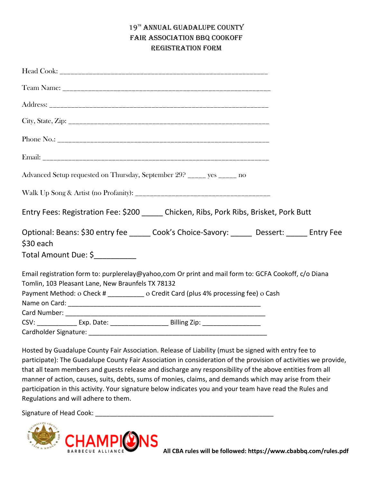## 19TH ANNUAL GUADALUPE COUNTY FAIR ASSOCIATION BBQ COOKOFF REGISTRATION FORM

| Advanced Setup requested on Thursday, September 29? _____ yes _____ no                                                                                    |  |
|-----------------------------------------------------------------------------------------------------------------------------------------------------------|--|
|                                                                                                                                                           |  |
| Entry Fees: Registration Fee: \$200 Chicken, Ribs, Pork Ribs, Brisket, Pork Butt                                                                          |  |
| Optional: Beans: \$30 entry fee ______ Cook's Choice-Savory: ______ Dessert: _____ Entry Fee<br>\$30 each                                                 |  |
| Total Amount Due: \$__________                                                                                                                            |  |
| Email registration form to: purplerelay@yahoo,com Or print and mail form to: GCFA Cookoff, c/o Diana<br>Tomlin, 103 Pleasant Lane, New Braunfels TX 78132 |  |
| Payment Method: o Check # _________ o Credit Card (plus 4% processing fee) o Cash                                                                         |  |
|                                                                                                                                                           |  |
|                                                                                                                                                           |  |
|                                                                                                                                                           |  |
| Cardholder Signature:                                                                                                                                     |  |

Hosted by Guadalupe County Fair Association. Release of Liability (must be signed with entry fee to participate): The Guadalupe County Fair Association in consideration of the provision of activities we provide, that all team members and guests release and discharge any responsibility of the above entities from all manner of action, causes, suits, debts, sums of monies, claims, and demands which may arise from their participation in this activity. Your signature below indicates you and your team have read the Rules and Regulations and will adhere to them.

Signature of Head Cook: \_\_\_\_\_\_\_\_\_\_\_\_\_\_\_\_\_\_\_\_\_\_\_\_\_\_\_\_\_\_\_\_\_\_\_\_\_\_\_\_\_\_\_\_\_\_\_\_\_

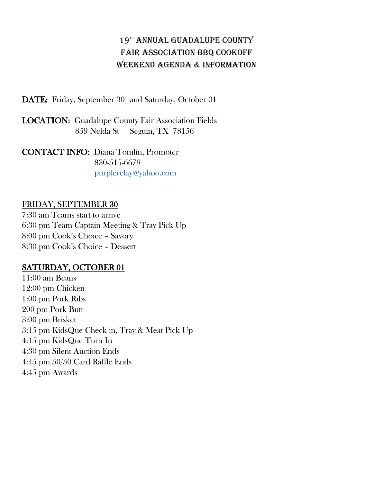## 19<sup>TH</sup> ANNUAL GUADALUPE COUNTY FAIR ASSOCIATION BBQ COOKOFF WEEKEND AGENDA & INFORMATION

DATE: Friday, September 30<sup>th</sup> and Saturday, October 01

LOCATION: Guadalupe County Fair Association Fields 859 Nelda St Seguin, TX 78156

CONTACT INFO: Diana Tomlin, Promoter 830-515-6679 [purplerelay@yahoo.com](mailto:purplerelay@yahoo.com)

## FRIDAY, SEPTEMBER 30

7:30 am Teams start to arrive 6:30 pm Team Captain Meeting & Tray Pick Up 8:00 pm Cook's Choice – Savory 8:30 pm Cook's Choice – Dessert

## SATURDAY, OCTOBER 01

11:00 am Beans 12:00 pm Chicken 1:00 pm Pork Ribs 200 pm Pork Butt 3:00 pm Brisket 3:15 pm KidsQue Check in, Tray & Meat Pick Up 4:15 pm KidsQue Turn In 4:30 pm Silent Auction Ends 4:45 pm 50/50 Card Raffle Ends 4:45 pm Awards